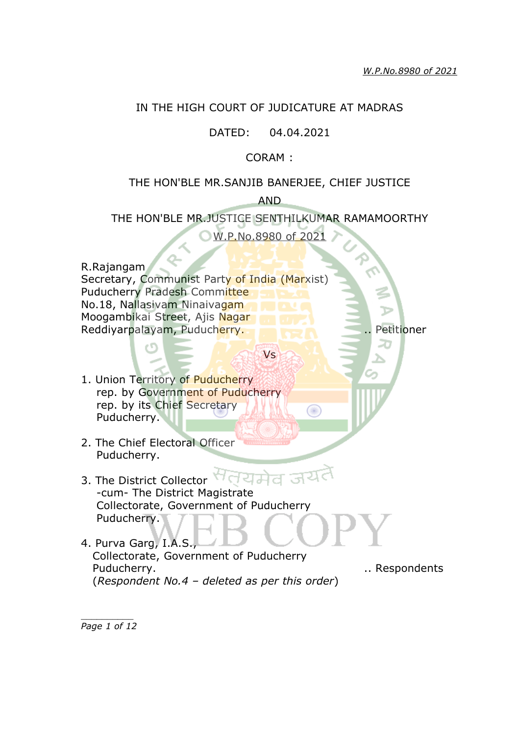#### IN THE HIGH COURT OF JUDICATURE AT MADRAS

## DATED: 04.04.2021

## CORAM :

#### THE HON'BLE MR.SANJIB BANERJEE, CHIEF JUSTICE

AND

THE HON'BLE MR.JUSTICE SENTHILKUMAR RAMAMOORTHY

W.P.No.8980 of 2021

R.Rajangam Secretary, Communist Party of India (Marxist) Puducherry Pradesh Committee No.18, Nallasivam Ninaivagam Moogambikai Street, Ajis Nagar Reddiyarpalayam, Puducherry. .. Petitioner

Vs

 $\circledcirc$ 

- 1. Union Territory of Puducherry rep. by Government of Puducherry rep. by its Chief Secretary Puducherry.
- 2. The Chief Electoral Officer Puducherry.
- यमेत अर्थ 3. The District Collector -cum- The District Magistrate Collectorate, Government of Puducherry Puducherry.
- 4. Purva Garg, I.A.S., Collectorate, Government of Puducherry Puducherry. **Example 20** Puducherry. (*Respondent No.4 – deleted as per this order*)

*\_\_\_\_\_\_\_\_\_\_ Page 1 of 12*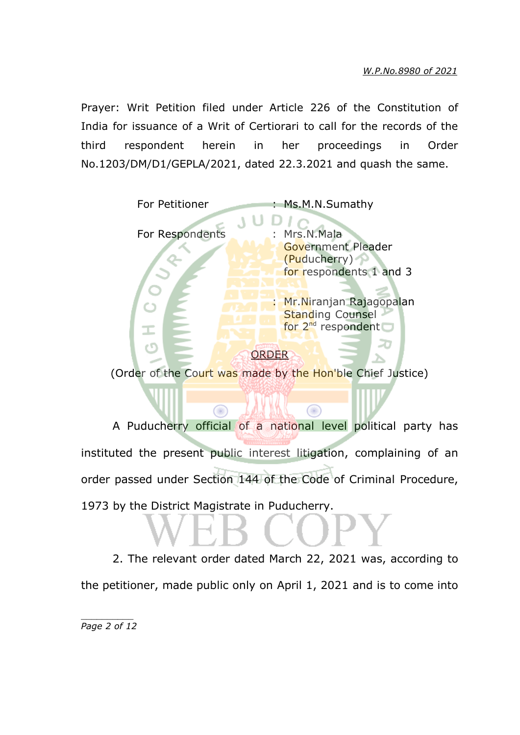Prayer: Writ Petition filed under Article 226 of the Constitution of India for issuance of a Writ of Certiorari to call for the records of the third respondent herein in her proceedings in Order No.1203/DM/D1/GEPLA/2021, dated 22.3.2021 and quash the same.



(Order of the Court was made by the Hon'ble Chief Justice)

Œ

œ

A Puducherry official of a national level political party has instituted the present public interest litigation, complaining of an order passed under Section 144 of the Code of Criminal Procedure, 1973 by the District Magistrate in Puducherry.

2. The relevant order dated March 22, 2021 was, according to the petitioner, made public only on April 1, 2021 and is to come into

*\_\_\_\_\_\_\_\_\_\_ Page 2 of 12*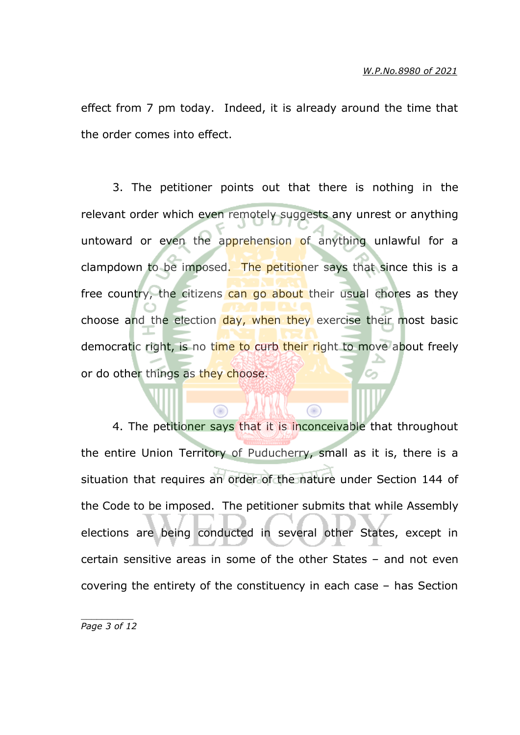effect from 7 pm today. Indeed, it is already around the time that the order comes into effect.

3. The petitioner points out that there is nothing in the relevant order which even remotely suggests any unrest or anything untoward or even the apprehension of anything unlawful for a clampdown to be imposed. The petitioner says that since this is a free country, the citizens can go about their usual chores as they choose and the election day, when they exercise their most basic democratic right, is no time to curb their right to move about freely or do other things as they choose.

4. The petitioner says that it is inconceivable that throughout the entire Union Territory of Puducherry, small as it is, there is a situation that requires an order of the nature under Section 144 of the Code to be imposed. The petitioner submits that while Assembly elections are being conducted in several other States, except in certain sensitive areas in some of the other States – and not even covering the entirety of the constituency in each case – has Section

⋒

*\_\_\_\_\_\_\_\_\_\_ Page 3 of 12*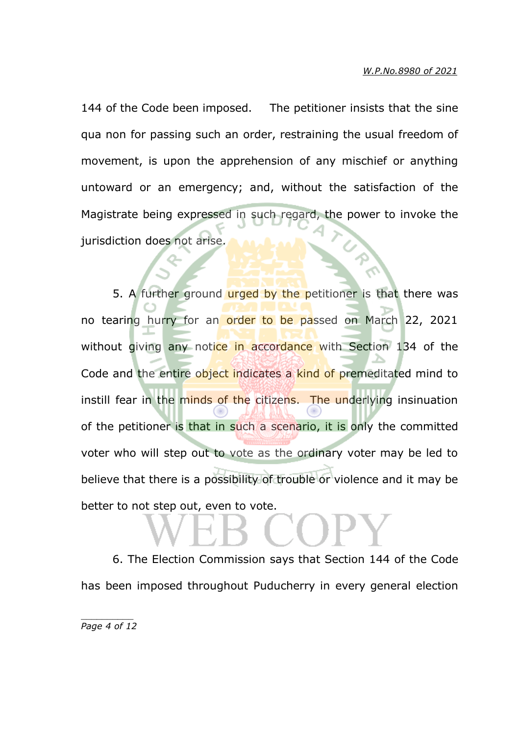144 of the Code been imposed. The petitioner insists that the sine qua non for passing such an order, restraining the usual freedom of movement, is upon the apprehension of any mischief or anything untoward or an emergency; and, without the satisfaction of the Magistrate being expressed in such regard, the power to invoke the jurisdiction does not arise.

5. A further ground urged by the petitioner is that there was no tearing hurry for an order to be passed on March 22, 2021 without giving any notice in accordance with Section 134 of the Code and the entire object indicates a kind of premeditated mind to instill fear in the minds of the citizens. The underlying insinuation of the petitioner is that in such a scenario, it is only the committed voter who will step out to vote as the ordinary voter may be led to believe that there is a possibility of trouble or violence and it may be better to not step out, even to vote.

6. The Election Commission says that Section 144 of the Code has been imposed throughout Puducherry in every general election

*\_\_\_\_\_\_\_\_\_\_ Page 4 of 12*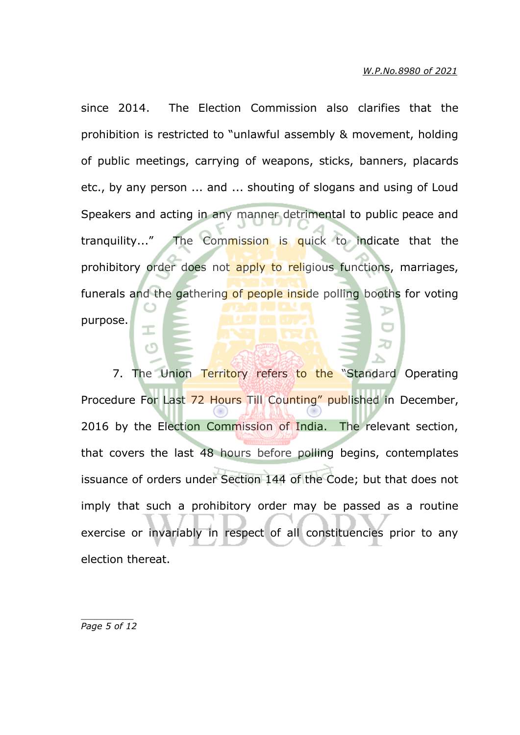since 2014. The Election Commission also clarifies that the prohibition is restricted to "unlawful assembly & movement, holding of public meetings, carrying of weapons, sticks, banners, placards etc., by any person ... and ... shouting of slogans and using of Loud Speakers and acting in any manner detrimental to public peace and tranquility..." The Commission is quick to indicate that the prohibitory order does not apply to religious functions, marriages, funerals and the gathering of people inside polling booths for voting purpose.

7. The Union Territory refers to the "Standard Operating Procedure For Last 72 Hours Till Counting" published in December, 2016 by the Election Commission of India. The relevant section, that covers the last 48 hours before polling begins, contemplates issuance of orders under Section 144 of the Code; but that does not imply that such a prohibitory order may be passed as a routine exercise or invariably in respect of all constituencies prior to any election thereat.

*\_\_\_\_\_\_\_\_\_\_ Page 5 of 12*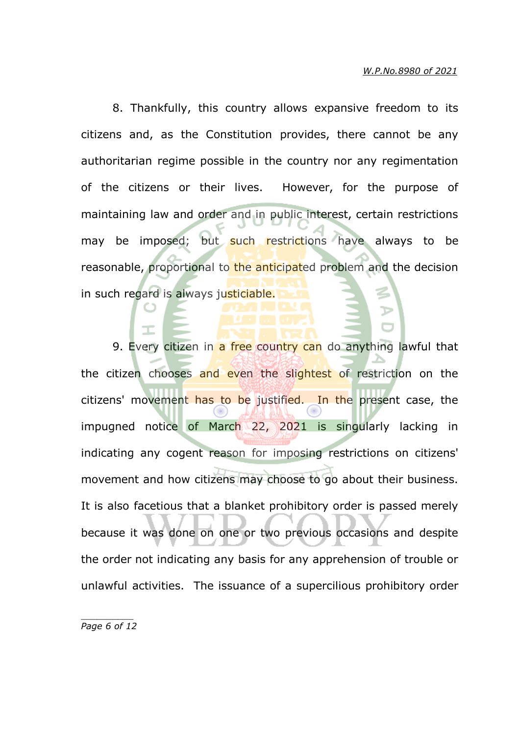8. Thankfully, this country allows expansive freedom to its citizens and, as the Constitution provides, there cannot be any authoritarian regime possible in the country nor any regimentation of the citizens or their lives. However, for the purpose of maintaining law and order and in public interest, certain restrictions may be imposed; but such restrictions have always to be reasonable, proportional to the anticipated problem and the decision in such regard is always justiciable.

9. Every citizen in a free country can do anything lawful that the citizen chooses and even the slightest of restriction on the citizens' movement has to be justified. In the present case, the impugned notice of March 22, 2021 is singularly lacking in indicating any cogent reason for imposing restrictions on citizens' movement and how citizens may choose to go about their business. It is also facetious that a blanket prohibitory order is passed merely because it was done on one or two previous occasions and despite the order not indicating any basis for any apprehension of trouble or unlawful activities. The issuance of a supercilious prohibitory order

*\_\_\_\_\_\_\_\_\_\_ Page 6 of 12*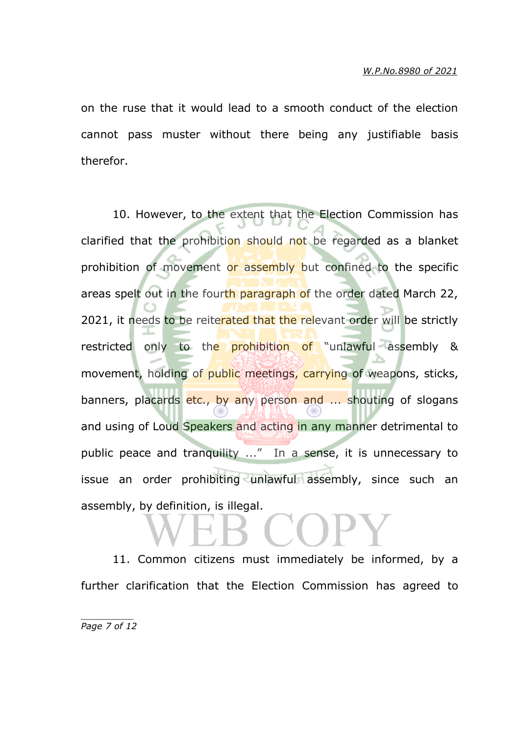on the ruse that it would lead to a smooth conduct of the election cannot pass muster without there being any justifiable basis therefor.

10. However, to the extent that the Election Commission has clarified that the prohibition should not be regarded as a blanket prohibition of movement or assembly but confined to the specific areas spelt out in the fourth paragraph of the order dated March 22, 2021, it needs to be reiterated that the relevant order will be strictly restricted only to the prohibition of "unlawful assembly & movement, holding of public meetings, carrying of weapons, sticks, banners, placards etc., by any person and ... shouting of slogans and using of Loud Speakers and acting in any manner detrimental to public peace and tranquility ..." In a sense, it is unnecessary to issue an order prohibiting unlawful assembly, since such an assembly, by definition, is illegal.

11. Common citizens must immediately be informed, by a further clarification that the Election Commission has agreed to

*\_\_\_\_\_\_\_\_\_\_ Page 7 of 12*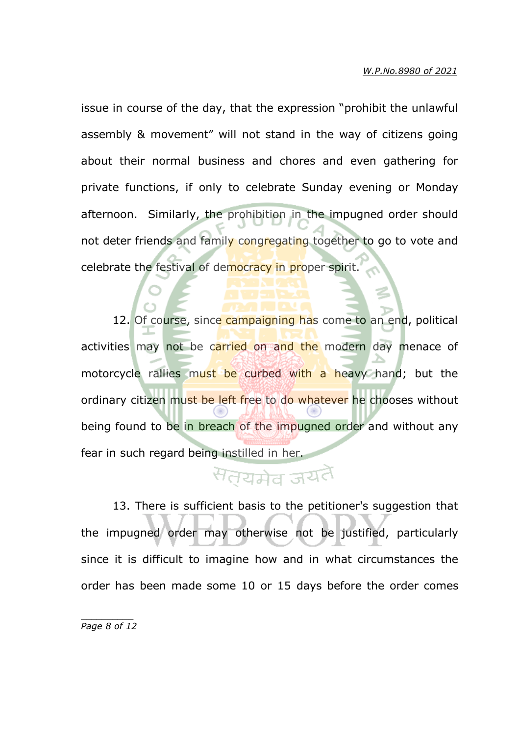issue in course of the day, that the expression "prohibit the unlawful assembly & movement" will not stand in the way of citizens going about their normal business and chores and even gathering for private functions, if only to celebrate Sunday evening or Monday afternoon. Similarly, the prohibition in the impugned order should not deter friends and family congregating together to go to vote and celebrate the festival of democracy in proper spirit.

12. Of course, since campaigning has come to an end, political activities may not be carried on and the modern day menace of motorcycle rallies must be curbed with a heavy hand; but the ordinary citizen must be left free to do whatever he chooses without being found to be in breach of the impugned order and without any fear in such regard being instilled in her.

# सतयमेव जयतै

13. There is sufficient basis to the petitioner's suggestion that the impugned order may otherwise not be justified, particularly since it is difficult to imagine how and in what circumstances the order has been made some 10 or 15 days before the order comes

*\_\_\_\_\_\_\_\_\_\_ Page 8 of 12*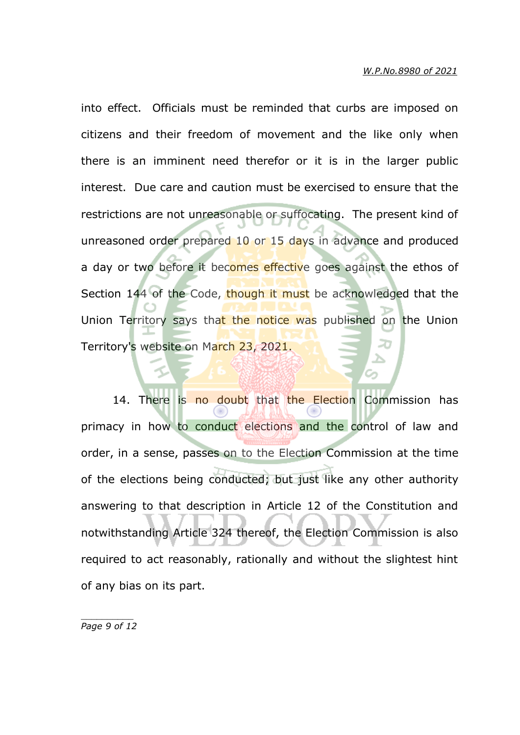into effect. Officials must be reminded that curbs are imposed on citizens and their freedom of movement and the like only when there is an imminent need therefor or it is in the larger public interest. Due care and caution must be exercised to ensure that the restrictions are not unreasonable or suffocating. The present kind of unreasoned order prepared 10 or 15 days in advance and produced a day or two before it becomes effective goes against the ethos of Section 144 of the Code, though it must be acknowledged that the Union Territory says that the notice was published on the Union Territory's website on March 23, 2021.

14. There is no doubt that the Election Commission has primacy in how to conduct elections and the control of law and order, in a sense, passes on to the Election Commission at the time of the elections being conducted; but just like any other authority answering to that description in Article 12 of the Constitution and notwithstanding Article 324 thereof, the Election Commission is also required to act reasonably, rationally and without the slightest hint of any bias on its part.

*\_\_\_\_\_\_\_\_\_\_ Page 9 of 12*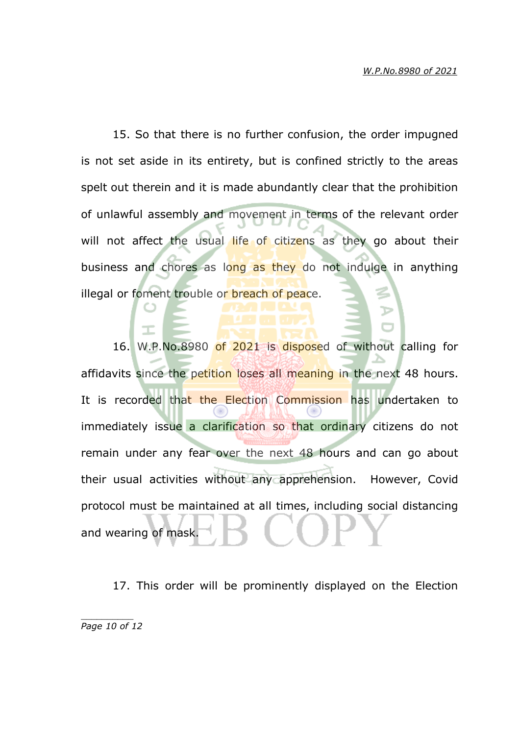15. So that there is no further confusion, the order impugned is not set aside in its entirety, but is confined strictly to the areas spelt out therein and it is made abundantly clear that the prohibition of unlawful assembly and movement in terms of the relevant order will not affect the usual life of citizens as they go about their business and chores as long as they do not indulge in anything illegal or foment trouble or breach of peace.

16. W.P.No.8980 of 2021 is disposed of without calling for affidavits since the petition loses all meaning in the next 48 hours. It is recorded that the Election Commission has undertaken to immediately issue a clarification so that ordinary citizens do not remain under any fear over the next 48 hours and can go about their usual activities without any apprehension. However, Covid protocol must be maintained at all times, including social distancing and wearing of mask.

17. This order will be prominently displayed on the Election

*\_\_\_\_\_\_\_\_\_\_ Page 10 of 12*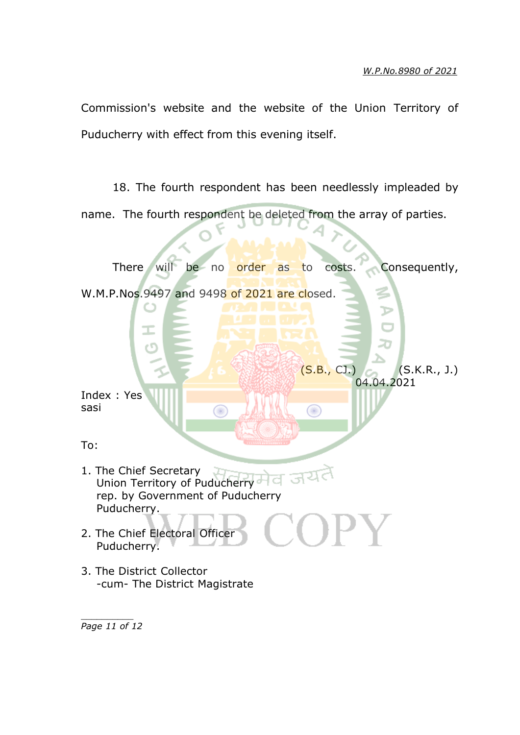Commission's website and the website of the Union Territory of Puducherry with effect from this evening itself.

18. The fourth respondent has been needlessly impleaded by name. The fourth respondent be deleted from the array of parties.



*Page 11 of 12*